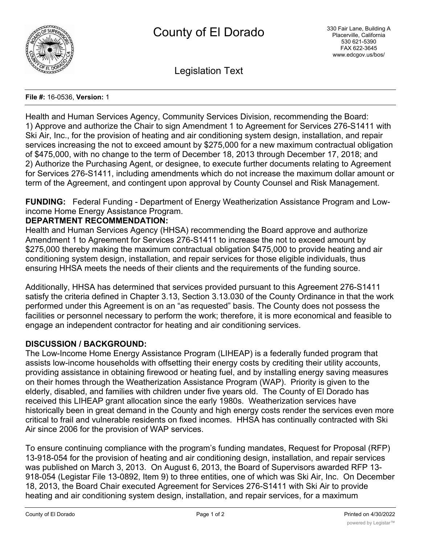

Legislation Text

#### **File #:** 16-0536, **Version:** 1

Health and Human Services Agency, Community Services Division, recommending the Board: 1) Approve and authorize the Chair to sign Amendment 1 to Agreement for Services 276-S1411 with Ski Air, Inc., for the provision of heating and air conditioning system design, installation, and repair services increasing the not to exceed amount by \$275,000 for a new maximum contractual obligation of \$475,000, with no change to the term of December 18, 2013 through December 17, 2018; and 2) Authorize the Purchasing Agent, or designee, to execute further documents relating to Agreement for Services 276-S1411, including amendments which do not increase the maximum dollar amount or term of the Agreement, and contingent upon approval by County Counsel and Risk Management.

**FUNDING:** Federal Funding - Department of Energy Weatherization Assistance Program and Lowincome Home Energy Assistance Program.

# **DEPARTMENT RECOMMENDATION:**

Health and Human Services Agency (HHSA) recommending the Board approve and authorize Amendment 1 to Agreement for Services 276-S1411 to increase the not to exceed amount by \$275,000 thereby making the maximum contractual obligation \$475,000 to provide heating and air conditioning system design, installation, and repair services for those eligible individuals, thus ensuring HHSA meets the needs of their clients and the requirements of the funding source.

Additionally, HHSA has determined that services provided pursuant to this Agreement 276-S1411 satisfy the criteria defined in Chapter 3.13, Section 3.13.030 of the County Ordinance in that the work performed under this Agreement is on an "as requested" basis. The County does not possess the facilities or personnel necessary to perform the work; therefore, it is more economical and feasible to engage an independent contractor for heating and air conditioning services.

# **DISCUSSION / BACKGROUND:**

The Low-Income Home Energy Assistance Program (LIHEAP) is a federally funded program that assists low-income households with offsetting their energy costs by crediting their utility accounts, providing assistance in obtaining firewood or heating fuel, and by installing energy saving measures on their homes through the Weatherization Assistance Program (WAP). Priority is given to the elderly, disabled, and families with children under five years old. The County of El Dorado has received this LIHEAP grant allocation since the early 1980s. Weatherization services have historically been in great demand in the County and high energy costs render the services even more critical to frail and vulnerable residents on fixed incomes. HHSA has continually contracted with Ski Air since 2006 for the provision of WAP services.

To ensure continuing compliance with the program's funding mandates, Request for Proposal (RFP) 13-918-054 for the provision of heating and air conditioning design, installation, and repair services was published on March 3, 2013. On August 6, 2013, the Board of Supervisors awarded RFP 13- 918-054 (Legistar File 13-0892, Item 9) to three entities, one of which was Ski Air, Inc. On December 18, 2013, the Board Chair executed Agreement for Services 276-S1411 with Ski Air to provide heating and air conditioning system design, installation, and repair services, for a maximum